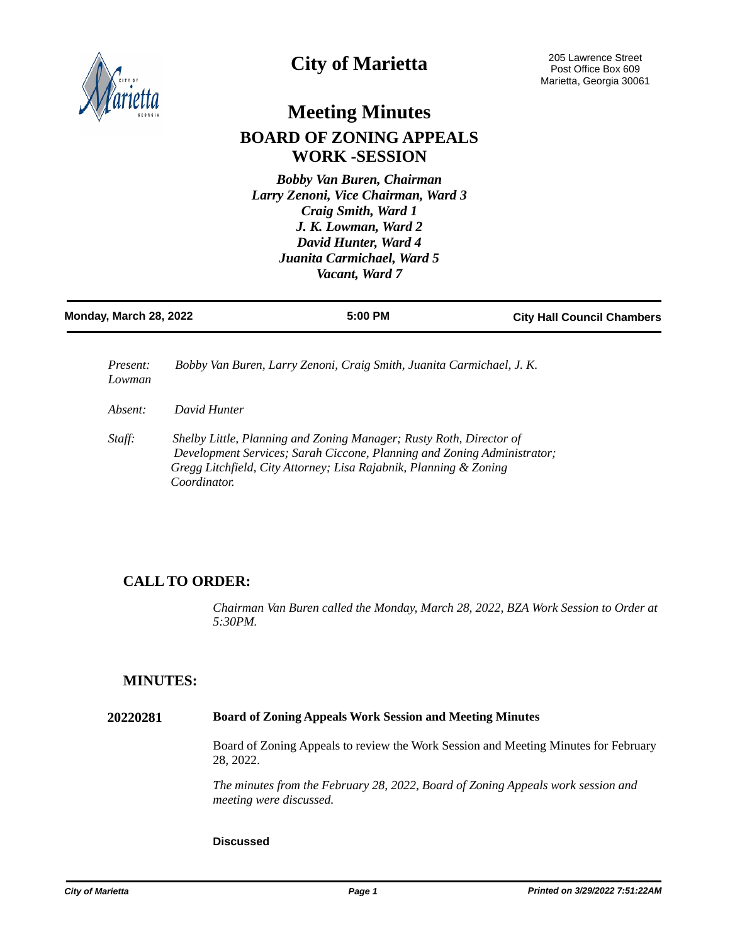

# **City of Marietta**

# **Meeting Minutes BOARD OF ZONING APPEALS WORK -SESSION**

*Bobby Van Buren, Chairman Larry Zenoni, Vice Chairman, Ward 3 Craig Smith, Ward 1 J. K. Lowman, Ward 2 David Hunter, Ward 4 Juanita Carmichael, Ward 5 Vacant, Ward 7* 

| Monday, March 28, 2022    |              | 5:00 PM                                                                                                                                                                                                             | <b>City Hall Council Chambers</b> |
|---------------------------|--------------|---------------------------------------------------------------------------------------------------------------------------------------------------------------------------------------------------------------------|-----------------------------------|
| <i>Present:</i><br>Lowman |              | Bobby Van Buren, Larry Zenoni, Craig Smith, Juanita Carmichael, J. K.                                                                                                                                               |                                   |
| Absent:                   | David Hunter |                                                                                                                                                                                                                     |                                   |
| Staff:                    | Coordinator. | Shelby Little, Planning and Zoning Manager; Rusty Roth, Director of<br>Development Services; Sarah Ciccone, Planning and Zoning Administrator;<br>Gregg Litchfield, City Attorney; Lisa Rajabnik, Planning & Zoning |                                   |

## **CALL TO ORDER:**

*Chairman Van Buren called the Monday, March 28, 2022, BZA Work Session to Order at 5:30PM.*

## **MINUTES:**

### **20220281 Board of Zoning Appeals Work Session and Meeting Minutes**

Board of Zoning Appeals to review the Work Session and Meeting Minutes for February 28, 2022.

*The minutes from the February 28, 2022, Board of Zoning Appeals work session and meeting were discussed.*

#### **Discussed**